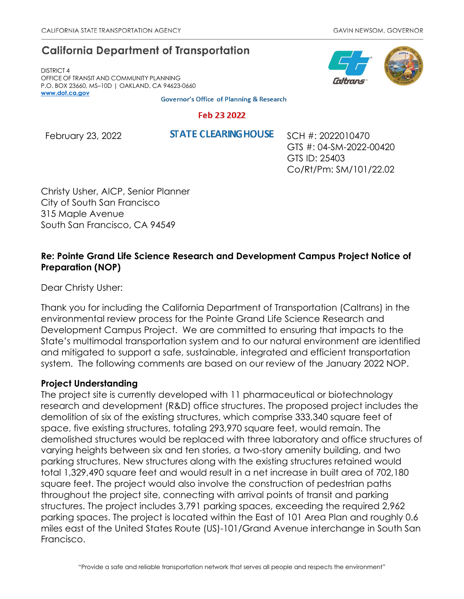# **California Department of Transportation**

DISTRICT 4 OFFICE OF TRANSIT AND COMMUNITY PLANNING P.O. BOX 23660, MS–10D | OAKLAND, CA 94623-0660 **[www.dot.ca.gov](http://www.dot.ca.gov/)**

**Governor's Office of Planning & Research** 

#### Feb 23 2022

February 23, 2022 **STATE CLEARING HOUSE** SCH #: 2022010470

GTS #: 04-SM-2022-00420 GTS ID: 25403 Co/Rt/Pm: SM/101/22.02

Christy Usher, AICP, Senior Planner City of South San Francisco 315 Maple Avenue South San Francisco, CA 94549

# **Re: Pointe Grand Life Science Research and Development Campus Project Notice of Preparation (NOP)**

Dear Christy Usher:

Thank you for including the California Department of Transportation (Caltrans) in the environmental review process for the Pointe Grand Life Science Research and Development Campus Project. We are committed to ensuring that impacts to the State's multimodal transportation system and to our natural environment are identified and mitigated to support a safe, sustainable, integrated and efficient transportation system. The following comments are based on our review of the January 2022 NOP.

## **Project Understanding**

The project site is currently developed with 11 pharmaceutical or biotechnology research and development (R&D) office structures. The proposed project includes the demolition of six of the existing structures, which comprise 333,340 square feet of space, five existing structures, totaling 293,970 square feet, would remain. The demolished structures would be replaced with three laboratory and office structures of varying heights between six and ten stories, a two-story amenity building, and two parking structures. New structures along with the existing structures retained would total 1,329,490 square feet and would result in a net increase in built area of 702,180 square feet. The project would also involve the construction of pedestrian paths throughout the project site, connecting with arrival points of transit and parking structures. The project includes 3,791 parking spaces, exceeding the required 2,962 parking spaces. The project is located within the East of 101 Area Plan and roughly 0.6 miles east of the United States Route (US)-101/Grand Avenue interchange in South San Francisco.

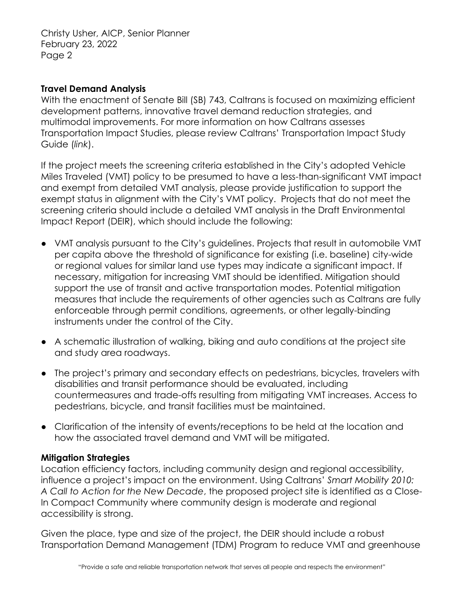Christy Usher, AICP, Senior Planner February 23, 2022 Page 2

#### **Travel Demand Analysis**

With the enactment of Senate Bill (SB) 743, Caltrans is focused on maximizing efficient development patterns, innovative travel demand reduction strategies, and multimodal improvements. For more information on how Caltrans assesses Transportation Impact Studies, please review Caltrans' [Transportation Impact Study](https://dot.ca.gov/-/media/dot-media/programs/transportation-planning/documents/sb-743/2020-05-20-approved-vmt-focused-tisg-a11y.pdf)  [Guide \(](https://dot.ca.gov/-/media/dot-media/programs/transportation-planning/documents/sb-743/2020-05-20-approved-vmt-focused-tisg-a11y.pdf)*[link](https://dot.ca.gov/-/media/dot-media/programs/transportation-planning/documents/sb-743/2020-05-20-approved-vmt-focused-tisg-a11y.pdf)*[\).](https://dot.ca.gov/-/media/dot-media/programs/transportation-planning/documents/sb-743/2020-05-20-approved-vmt-focused-tisg-a11y.pdf)

If the project meets the screening criteria established in the City's adopted Vehicle Miles Traveled (VMT) policy to be presumed to have a less-than-significant VMT impact and exempt from detailed VMT analysis, please provide justification to support the exempt status in alignment with the City's VMT policy. Projects that do not meet the screening criteria should include a detailed VMT analysis in the Draft Environmental Impact Report (DEIR), which should include the following:

- VMT analysis pursuant to the City's guidelines. Projects that result in automobile VMT per capita above the threshold of significance for existing (i.e. baseline) city-wide or regional values for similar land use types may indicate a significant impact. If necessary, mitigation for increasing VMT should be identified. Mitigation should support the use of transit and active transportation modes. Potential mitigation measures that include the requirements of other agencies such as Caltrans are fully enforceable through permit conditions, agreements, or other legally-binding instruments under the control of the City.
- A schematic illustration of walking, biking and auto conditions at the project site and study area roadways.
- The project's primary and secondary effects on pedestrians, bicycles, travelers with disabilities and transit performance should be evaluated, including countermeasures and trade-offs resulting from mitigating VMT increases. Access to pedestrians, bicycle, and transit facilities must be maintained.
- Clarification of the intensity of events/receptions to be held at the location and how the associated travel demand and VMT will be mitigated.

## **Mitigation Strategies**

Location efficiency factors, including community design and regional accessibility, influence a project's impact on the environment. Using Caltrans' *Smart Mobility 2010: A Call to Action for the New Decade*, the proposed project site is identified as a Close-In Compact Community where community design is moderate and regional accessibility is strong.

Given the place, type and size of the project, the DEIR should include a robust Transportation Demand Management (TDM) Program to reduce VMT and greenhouse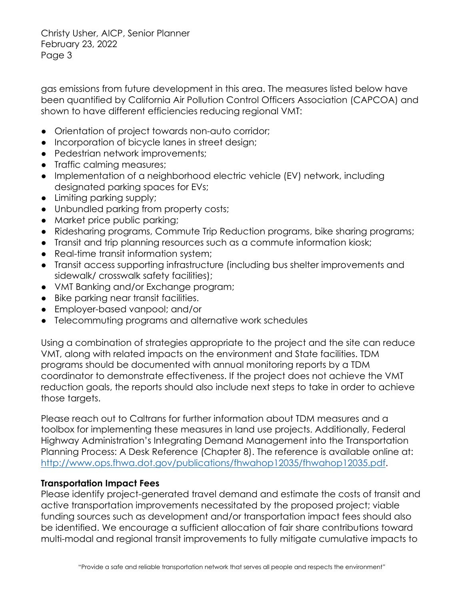Christy Usher, AICP, Senior Planner February 23, 2022 Page 3

gas emissions from future development in this area. The measures listed below have been quantified by California Air Pollution Control Officers Association (CAPCOA) and shown to have different efficiencies reducing regional VMT:

- Orientation of project towards non-auto corridor;
- Incorporation of bicycle lanes in street design;
- Pedestrian network improvements;
- Traffic calming measures;
- Implementation of a neighborhood electric vehicle (EV) network, including designated parking spaces for EVs;
- Limiting parking supply;
- Unbundled parking from property costs;
- Market price public parking;
- Ridesharing programs, Commute Trip Reduction programs, bike sharing programs;
- Transit and trip planning resources such as a commute information kiosk;
- Real-time transit information system;
- Transit access supporting infrastructure (including bus shelter improvements and sidewalk/ crosswalk safety facilities);
- VMT Banking and/or Exchange program;
- Bike parking near transit facilities.
- Employer-based vanpool; and/or
- Telecommuting programs and alternative work schedules

Using a combination of strategies appropriate to the project and the site can reduce VMT, along with related impacts on the environment and State facilities. TDM programs should be documented with annual monitoring reports by a TDM coordinator to demonstrate effectiveness. If the project does not achieve the VMT reduction goals, the reports should also include next steps to take in order to achieve those targets.

Please reach out to Caltrans for further information about TDM measures and a toolbox for implementing these measures in land use projects. Additionally, Federal Highway Administration's Integrating Demand Management into the Transportation Planning Process: A Desk Reference (Chapter 8). The reference is available online at: http://www.ops.fhwa.dot.gov/publications/fhwahop12035/fhwahop12035.pdf.

## **Transportation Impact Fees**

Please identify project-generated travel demand and estimate the costs of transit and active transportation improvements necessitated by the proposed project; viable funding sources such as development and/or transportation impact fees should also be identified. We encourage a sufficient allocation of fair share contributions toward multi-modal and regional transit improvements to fully mitigate cumulative impacts to